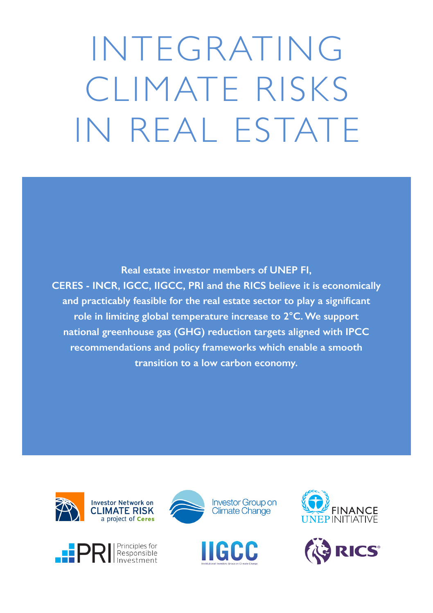INTEGRATING CLIMATE RISKS IN REAL ESTATE

**Real estate investor members of UNEP FI, CERES - INCR, IGCC, IIGCC, PRI and the RICS believe it is economically and practicably feasible for the real estate sector to play a significant role in limiting global temperature increase to 2°C. We support national greenhouse gas (GHG) reduction targets aligned with IPCC recommendations and policy frameworks which enable a smooth transition to a low carbon economy.**











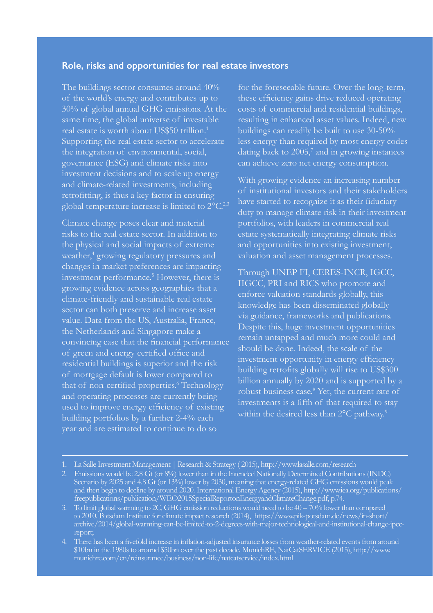## **Role, risks and opportunities for real estate investors**

The buildings sector consumes around 40% of the world's energy and contributes up to 30% of global annual GHG emissions. At the same time, the global universe of investable real estate is worth about US\$50 trillion.1 Supporting the real estate sector to accelerate the integration of environmental, social, governance (ESG) and climate risks into investment decisions and to scale up energy and climate-related investments, including retrofitting, is thus a key factor in ensuring global temperature increase is limited to 2°C.<sup>2,3</sup>

Climate change poses clear and material risks to the real estate sector. In addition to the physical and social impacts of extreme weather,<sup>4</sup> growing regulatory pressures and changes in market preferences are impacting investment performance.<sup>5</sup> However, there is growing evidence across geographies that a climate-friendly and sustainable real estate sector can both preserve and increase asset value. Data from the US, Australia, France, the Netherlands and Singapore make a convincing case that the financial performance of green and energy certified office and residential buildings is superior and the risk of mortgage default is lower compared to that of non-certified properties.<sup>6</sup> Technology and operating processes are currently being used to improve energy efficiency of existing building portfolios by a further 2-4% each year and are estimated to continue to do so

for the foreseeable future. Over the long-term, these efficiency gains drive reduced operating costs of commercial and residential buildings, resulting in enhanced asset values. Indeed, new buildings can readily be built to use 30-50% less energy than required by most energy codes dating back to  $2005$ ,<sup>7</sup> and in growing instances can achieve zero net energy consumption.

With growing evidence an increasing number of institutional investors and their stakeholders have started to recognize it as their fiduciary duty to manage climate risk in their investment portfolios, with leaders in commercial real estate systematically integrating climate risks and opportunities into existing investment,

Through UNEP FI, CERES-INCR, IGCC, IIGCC, PRI and RICS who promote and enforce valuation standards globally, this knowledge has been disseminated globally via guidance, frameworks and publications. Despite this, huge investment opportunities remain untapped and much more could and should be done. Indeed, the scale of the investment opportunity in energy efficiency building retrofits globally will rise to US\$300 billion annually by 2020 and is supported by a investments is a fifth of that required to stay

<sup>1.</sup> La Salle Investment Management | Research & Strategy ( 2015), http://www.lasalle.com/research

<sup>2.</sup> Emissions would be 2.8 Gt (or 8%) lower than in the Intended Nationally Determined Contributions (INDC) Scenario by 2025 and 4.8 Gt (or 13%) lower by 2030, meaning that energy-related GHG emissions would peak and then begin to decline by around 2020. International Energy Agency (2015), http://www.iea.org/publications/ freepublications/publication/WEO2015SpecialReportonEnergyandClimateChange.pdf, p.74.

<sup>3.</sup> To limit global warming to 2C, GHG emission reductions would need to be 40 – 70% lower than compared to 2010. Potsdam Institute for climate impact research (2014), https://www.pik-potsdam.de/news/in-short/ archive/2014/global-warming-can-be-limited-to-2-degrees-with-major-technological-and-institutional-change-ipcc-

<sup>4.</sup> There has been a fivefold increase in inflation-adjusted insurance losses from weather-related events from around \$10bn in the 1980s to around \$50bn over the past decade. MunichRE, NatCatSERVICE (2015), http://www. munichre.com/en/reinsurance/business/non-life/natcatservice/index.html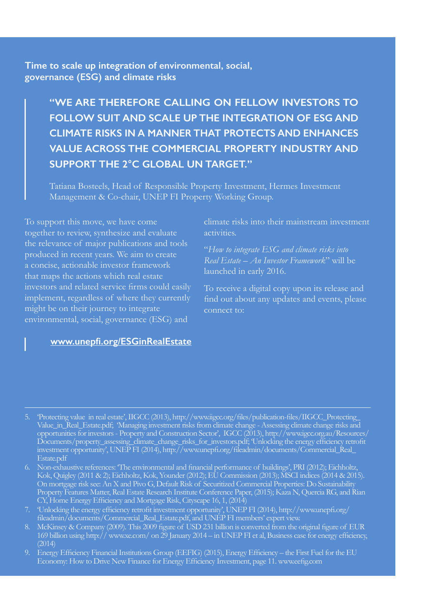**Time to scale up integration of environmental, social, governance (ESG) and climate risks**

> **"WE ARE THEREFORE CALLING ON FELLOW INVESTORS TO FOLLOW SUIT AND SCALE UP THE INTEGRATION OF ESG AND CLIMATE RISKS IN A MANNER THAT PROTECTS AND ENHANCES VALUE ACROSS THE COMMERCIAL PROPERTY INDUSTRY AND SUPPORT THE 2°C GLOBAL UN TARGET."**

Tatiana Bosteels, Head of Responsible Property Investment, Hermes Investment Management & Co-chair, UNEP FI Property Working Group.

To support this move, we have come together to review, synthesize and evaluate the relevance of major publications and tools produced in recent years. We aim to create a concise, actionable investor framework that maps the actions which real estate investors and related service firms could easily implement, regardless of where they currently might be on their journey to integrate environmental, social, governance (ESG) and

## **[www.unepfi.org/ESGinRealEstate](http://www.unepfi.org/ESGinRealEstate/)**

climate risks into their mainstream investment activities.

"*How to integrate ESG and climate risks into Real Estate – An Investor Framework*" will be launched in early 2016.

To receive a digital copy upon its release and find out about any updates and events, please connect to:

- 5. 'Protecting value in real estate', IIGCC (2013), http://www.iigcc.org/files/publication-files/IIGCC\_Protecting\_ Value\_in\_Real\_Estate.pdf; 'Managing investment risks from climate change - Assessing climate change risks and opportunities for investors - Property and Construction Sector', IGCC (2013), http://www.igcc.org.au/Resources/ Documents/property\_assessing\_climate\_change\_risks\_for\_investors.pdf; 'Unlocking the energy efficiency retrofit investment opportunity', UNEP FI (2014), http://www.unepfi.org/fileadmin/documents/Commercial\_Real\_
- 6. Non-exhaustive references: 'The environmental and financial performance of buildings', PRI (2012); Eichholtz, Kok, Quigley (2011 & 2); Eichholtz, Kok, Younder (2012); EU Commission (2013); MSCI indices (2014 & 2015). On mortgage risk see: An X and Pivo G, Default Risk of Securitized Commercial Properties: Do Sustainability Property Features Matter, Real Estate Research Institute Conference Paper, (2015); Kaza N, Quercia RG, and Rian CY, Home Energy Efficiency and Mortgage Risk, Cityscape 16, 1, (2014)
- 7. 'Unlocking the energy efficiency retrofit investment opportunity', UNEP FI (2014), http://www.unepfi.org/ fileadmin/documents/Commercial\_Real\_Estate.pdf, and UNEP FI members' expert view.
- 8. McKinsey & Company (2009). This 2009 figure of USD 231 billion is converted from the original figure of EUR 169 billion using http:// www.xe.com/ on 29 January 2014 – in UNEP FI et al, Business case for energy efficiency,  $(2014)$
- 9. Energy Efficiency Financial Institutions Group (EEFIG) (2015), Energy Efficiency the First Fuel for the EU Economy: How to Drive New Finance for Energy Efficiency Investment, page 11. www.eefig.com